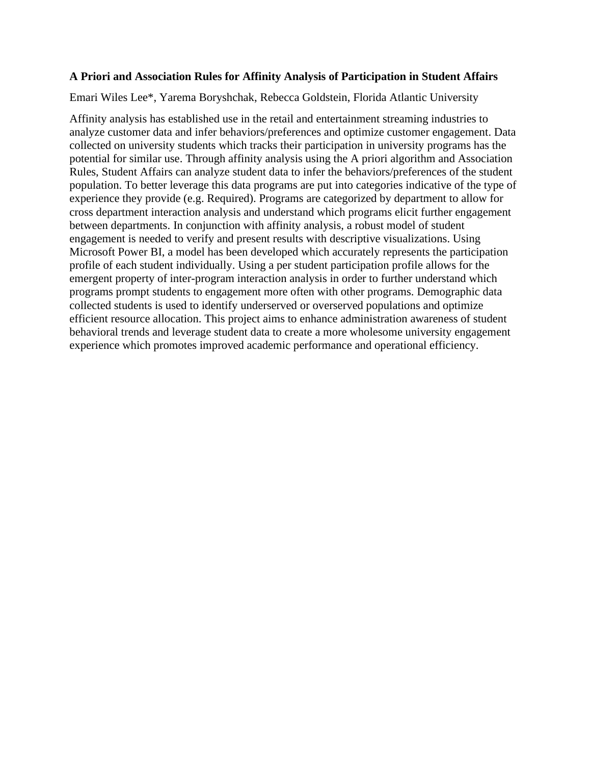## **A Priori and Association Rules for Affinity Analysis of Participation in Student Affairs**

Emari Wiles Lee\*, Yarema Boryshchak, Rebecca Goldstein, Florida Atlantic University

Affinity analysis has established use in the retail and entertainment streaming industries to analyze customer data and infer behaviors/preferences and optimize customer engagement. Data collected on university students which tracks their participation in university programs has the potential for similar use. Through affinity analysis using the A priori algorithm and Association Rules, Student Affairs can analyze student data to infer the behaviors/preferences of the student population. To better leverage this data programs are put into categories indicative of the type of experience they provide (e.g. Required). Programs are categorized by department to allow for cross department interaction analysis and understand which programs elicit further engagement between departments. In conjunction with affinity analysis, a robust model of student engagement is needed to verify and present results with descriptive visualizations. Using Microsoft Power BI, a model has been developed which accurately represents the participation profile of each student individually. Using a per student participation profile allows for the emergent property of inter-program interaction analysis in order to further understand which programs prompt students to engagement more often with other programs. Demographic data collected students is used to identify underserved or overserved populations and optimize efficient resource allocation. This project aims to enhance administration awareness of student behavioral trends and leverage student data to create a more wholesome university engagement experience which promotes improved academic performance and operational efficiency.